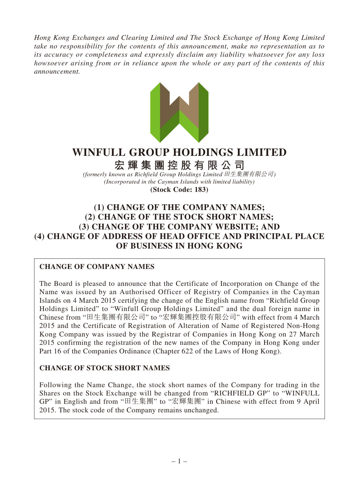*Hong Kong Exchanges and Clearing Limited and The Stock Exchange of Hong Kong Limited take no responsibility for the contents of this announcement, make no representation as to its accuracy or completeness and expressly disclaim any liability whatsoever for any loss howsoever arising from or in reliance upon the whole or any part of the contents of this announcement.*



# **WINFULL GROUP HOLDINGS LIMITED**

**宏輝集團控股有限公司**

*(formerly known as Richfield Group Holdings Limited* 田生集團有限公司*) (Incorporated in the Cayman Islands with limited liability)*

**(Stock Code: 183)**

# **(1) CHANGE OF THE COMPANY NAMES; (2) CHANGE OF THE STOCK SHORT NAMES; (3) CHANGE OF THE COMPANY WEBSITE; AND (4) CHANGE OF ADDRESS OF HEAD OFFICE AND PRINCIPAL PLACE OF BUSINESS IN HONG KONG**

# **CHANGE OF COMPANY NAMES**

The Board is pleased to announce that the Certificate of Incorporation on Change of the Name was issued by an Authorised Officer of Registry of Companies in the Cayman Islands on 4 March 2015 certifying the change of the English name from "Richfield Group Holdings Limited" to "Winfull Group Holdings Limited" and the dual foreign name in Chinese from "田生集團有限公司" to "宏輝集團控股有限公司" with effect from 4 March 2015 and the Certificate of Registration of Alteration of Name of Registered Non-Hong Kong Company was issued by the Registrar of Companies in Hong Kong on 27 March 2015 confirming the registration of the new names of the Company in Hong Kong under Part 16 of the Companies Ordinance (Chapter 622 of the Laws of Hong Kong).

# **CHANGE OF STOCK SHORT NAMES**

Following the Name Change, the stock short names of the Company for trading in the Shares on the Stock Exchange will be changed from "RICHFIELD GP" to "WINFULL GP" in English and from "田生集團" to "宏輝集團" in Chinese with effect from 9 April 2015. The stock code of the Company remains unchanged.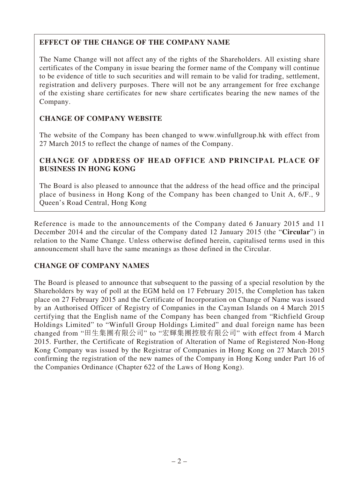# **EFFECT OF THE CHANGE OF THE COMPANY NAME**

The Name Change will not affect any of the rights of the Shareholders. All existing share certificates of the Company in issue bearing the former name of the Company will continue to be evidence of title to such securities and will remain to be valid for trading, settlement, registration and delivery purposes. There will not be any arrangement for free exchange of the existing share certificates for new share certificates bearing the new names of the Company.

# **CHANGE OF COMPANY WEBSITE**

The website of the Company has been changed to www.winfullgroup.hk with effect from 27 March 2015 to reflect the change of names of the Company.

### **CHANGE OF ADDRESS OF HEAD OFFICE AND PRINCIPAL PLACE OF BUSINESS IN HONG KONG**

The Board is also pleased to announce that the address of the head office and the principal place of business in Hong Kong of the Company has been changed to Unit A, 6/F., 9 Queen's Road Central, Hong Kong

Reference is made to the announcements of the Company dated 6 January 2015 and 11 December 2014 and the circular of the Company dated 12 January 2015 (the "**Circular**") in relation to the Name Change. Unless otherwise defined herein, capitalised terms used in this announcement shall have the same meanings as those defined in the Circular.

#### **CHANGE OF COMPANY NAMES**

The Board is pleased to announce that subsequent to the passing of a special resolution by the Shareholders by way of poll at the EGM held on 17 February 2015, the Completion has taken place on 27 February 2015 and the Certificate of Incorporation on Change of Name was issued by an Authorised Officer of Registry of Companies in the Cayman Islands on 4 March 2015 certifying that the English name of the Company has been changed from "Richfield Group Holdings Limited" to "Winfull Group Holdings Limited" and dual foreign name has been changed from "田生集團有限公司" to "宏輝集團控股有限公司" with effect from 4 March 2015. Further, the Certificate of Registration of Alteration of Name of Registered Non-Hong Kong Company was issued by the Registrar of Companies in Hong Kong on 27 March 2015 confirming the registration of the new names of the Company in Hong Kong under Part 16 of the Companies Ordinance (Chapter 622 of the Laws of Hong Kong).